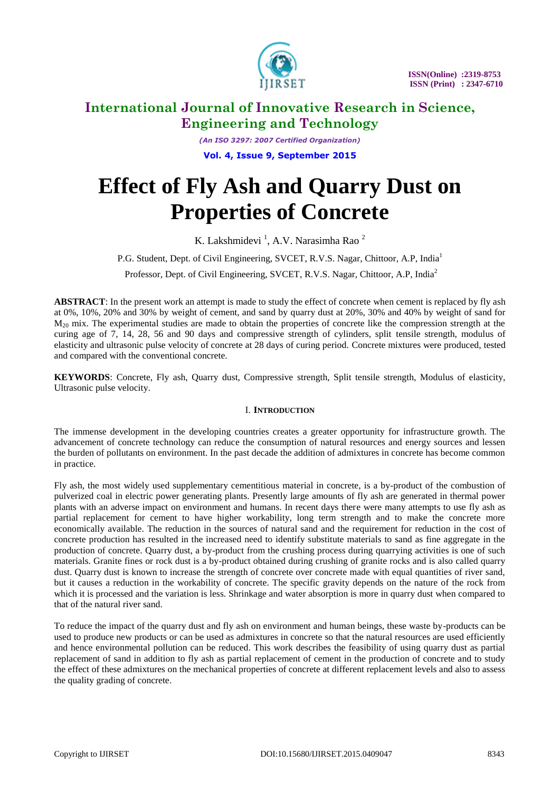

*(An ISO 3297: 2007 Certified Organization)* **Vol. 4, Issue 9, September 2015**

# **Effect of Fly Ash and Quarry Dust on Properties of Concrete**

K. Lakshmidevi<sup>1</sup>, A.V. Narasimha Rao<sup>2</sup>

P.G. Student, Dept. of Civil Engineering, SVCET, R.V.S. Nagar, Chittoor, A.P. India<sup>1</sup>

Professor, Dept. of Civil Engineering, SVCET, R.V.S. Nagar, Chittoor, A.P, India<sup>2</sup>

**ABSTRACT**: In the present work an attempt is made to study the effect of concrete when cement is replaced by fly ash at 0%, 10%, 20% and 30% by weight of cement, and sand by quarry dust at 20%, 30% and 40% by weight of sand for  $M_{20}$  mix. The experimental studies are made to obtain the properties of concrete like the compression strength at the curing age of 7, 14, 28, 56 and 90 days and compressive strength of cylinders, split tensile strength, modulus of elasticity and ultrasonic pulse velocity of concrete at 28 days of curing period. Concrete mixtures were produced, tested and compared with the conventional concrete.

**KEYWORDS**: Concrete, Fly ash, Quarry dust, Compressive strength, Split tensile strength, Modulus of elasticity, Ultrasonic pulse velocity.

# I. **INTRODUCTION**

The immense development in the developing countries creates a greater opportunity for infrastructure growth. The advancement of concrete technology can reduce the consumption of natural resources and energy sources and lessen the burden of pollutants on environment. In the past decade the addition of admixtures in concrete has become common in practice.

Fly ash, the most widely used supplementary cementitious material in concrete, is a by-product of the combustion of pulverized coal in electric power generating plants. Presently large amounts of fly ash are generated in thermal power plants with an adverse impact on environment and humans. In recent days there were many attempts to use fly ash as partial replacement for cement to have higher workability, long term strength and to make the concrete more economically available. The reduction in the sources of natural sand and the requirement for reduction in the cost of concrete production has resulted in the increased need to identify substitute materials to sand as fine aggregate in the production of concrete. Quarry dust, a by-product from the crushing process during quarrying activities is one of such materials. Granite fines or rock dust is a by-product obtained during crushing of granite rocks and is also called quarry dust. Quarry dust is known to increase the strength of concrete over concrete made with equal quantities of river sand, but it causes a reduction in the workability of concrete. The specific gravity depends on the nature of the rock from which it is processed and the variation is less. Shrinkage and water absorption is more in quarry dust when compared to that of the natural river sand.

To reduce the impact of the quarry dust and fly ash on environment and human beings, these waste by-products can be used to produce new products or can be used as admixtures in concrete so that the natural resources are used efficiently and hence environmental pollution can be reduced. This work describes the feasibility of using quarry dust as partial replacement of sand in addition to fly ash as partial replacement of cement in the production of concrete and to study the effect of these admixtures on the mechanical properties of concrete at different replacement levels and also to assess the quality grading of concrete.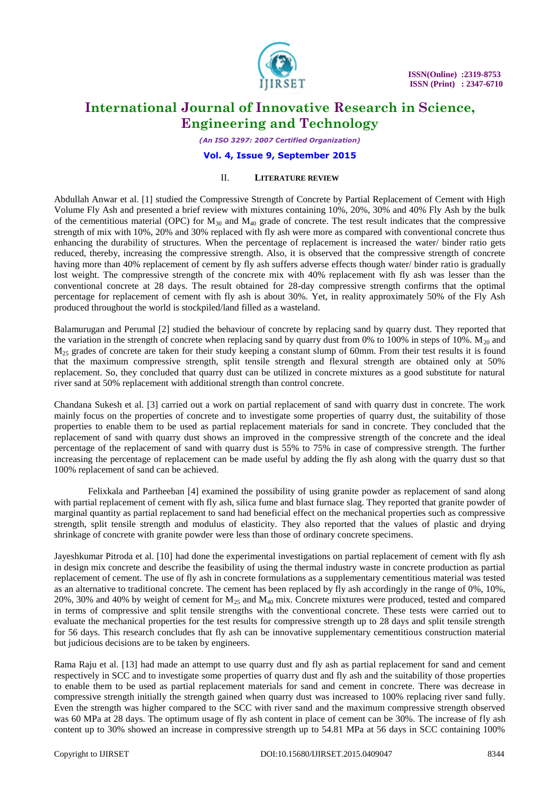

*(An ISO 3297: 2007 Certified Organization)*

**Vol. 4, Issue 9, September 2015**

### II. **LITERATURE REVIEW**

Abdullah Anwar et al. [1] studied the Compressive Strength of Concrete by Partial Replacement of Cement with High Volume Fly Ash and presented a brief review with mixtures containing 10%, 20%, 30% and 40% Fly Ash by the bulk of the cementitious material (OPC) for  $M_{30}$  and  $M_{40}$  grade of concrete. The test result indicates that the compressive strength of mix with 10%, 20% and 30% replaced with fly ash were more as compared with conventional concrete thus enhancing the durability of structures. When the percentage of replacement is increased the water/ binder ratio gets reduced, thereby, increasing the compressive strength. Also, it is observed that the compressive strength of concrete having more than 40% replacement of cement by fly ash suffers adverse effects though water/ binder ratio is gradually lost weight. The compressive strength of the concrete mix with 40% replacement with fly ash was lesser than the conventional concrete at 28 days. The result obtained for 28-day compressive strength confirms that the optimal percentage for replacement of cement with fly ash is about 30%. Yet, in reality approximately 50% of the Fly Ash produced throughout the world is stockpiled/land filled as a wasteland.

Balamurugan and Perumal [2] studied the behaviour of concrete by replacing sand by quarry dust. They reported that the variation in the strength of concrete when replacing sand by quarry dust from 0% to 100% in steps of 10%.  $M_{20}$  and  $M<sub>25</sub>$  grades of concrete are taken for their study keeping a constant slump of 60mm. From their test results it is found that the maximum compressive strength, split tensile strength and flexural strength are obtained only at 50% replacement. So, they concluded that quarry dust can be utilized in concrete mixtures as a good substitute for natural river sand at 50% replacement with additional strength than control concrete.

Chandana Sukesh et al. [3] carried out a work on partial replacement of sand with quarry dust in concrete. The work mainly focus on the properties of concrete and to investigate some properties of quarry dust, the suitability of those properties to enable them to be used as partial replacement materials for sand in concrete. They concluded that the replacement of sand with quarry dust shows an improved in the compressive strength of the concrete and the ideal percentage of the replacement of sand with quarry dust is 55% to 75% in case of compressive strength. The further increasing the percentage of replacement can be made useful by adding the fly ash along with the quarry dust so that 100% replacement of sand can be achieved.

Felixkala and Partheeban [4] examined the possibility of using granite powder as replacement of sand along with partial replacement of cement with fly ash, silica fume and blast furnace slag. They reported that granite powder of marginal quantity as partial replacement to sand had beneficial effect on the mechanical properties such as compressive strength, split tensile strength and modulus of elasticity. They also reported that the values of plastic and drying shrinkage of concrete with granite powder were less than those of ordinary concrete specimens.

Jayeshkumar Pitroda et al. [10] had done the experimental investigations on partial replacement of cement with fly ash in design mix concrete and describe the feasibility of using the thermal industry waste in concrete production as partial replacement of cement. The use of fly ash in concrete formulations as a supplementary cementitious material was tested as an alternative to traditional concrete. The cement has been replaced by fly ash accordingly in the range of 0%, 10%, 20%, 30% and 40% by weight of cement for  $M_{25}$  and  $M_{40}$  mix. Concrete mixtures were produced, tested and compared in terms of compressive and split tensile strengths with the conventional concrete. These tests were carried out to evaluate the mechanical properties for the test results for compressive strength up to 28 days and split tensile strength for 56 days. This research concludes that fly ash can be innovative supplementary cementitious construction material but judicious decisions are to be taken by engineers.

Rama Raju et al. [13] had made an attempt to use quarry dust and fly ash as partial replacement for sand and cement respectively in SCC and to investigate some properties of quarry dust and fly ash and the suitability of those properties to enable them to be used as partial replacement materials for sand and cement in concrete. There was decrease in compressive strength initially the strength gained when quarry dust was increased to 100% replacing river sand fully. Even the strength was higher compared to the SCC with river sand and the maximum compressive strength observed was 60 MPa at 28 days. The optimum usage of fly ash content in place of cement can be 30%. The increase of fly ash content up to 30% showed an increase in compressive strength up to 54.81 MPa at 56 days in SCC containing 100%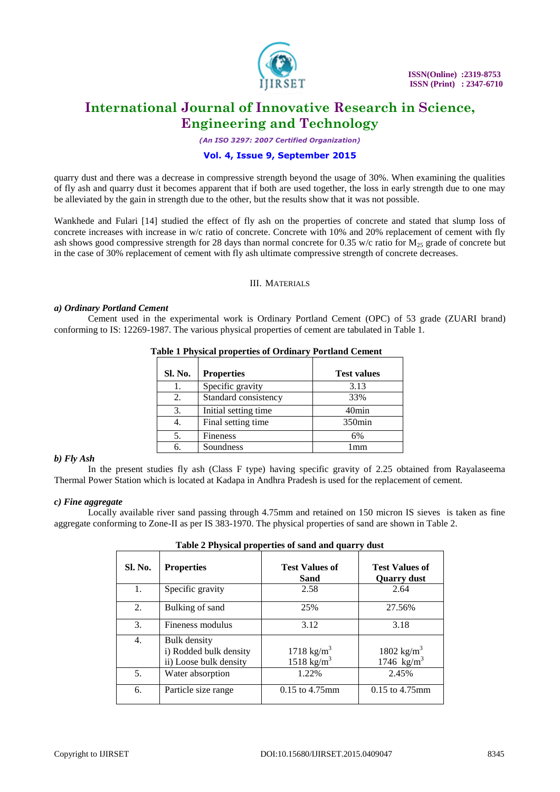

*(An ISO 3297: 2007 Certified Organization)*

# **Vol. 4, Issue 9, September 2015**

quarry dust and there was a decrease in compressive strength beyond the usage of 30%. When examining the qualities of fly ash and quarry dust it becomes apparent that if both are used together, the loss in early strength due to one may be alleviated by the gain in strength due to the other, but the results show that it was not possible.

Wankhede and Fulari [14] studied the effect of fly ash on the properties of concrete and stated that slump loss of concrete increases with increase in w/c ratio of concrete. Concrete with 10% and 20% replacement of cement with fly ash shows good compressive strength for 28 days than normal concrete for 0.35 w/c ratio for  $M_{25}$  grade of concrete but in the case of 30% replacement of cement with fly ash ultimate compressive strength of concrete decreases.

#### III. MATERIALS

#### *a) Ordinary Portland Cement*

Cement used in the experimental work is Ordinary Portland Cement (OPC) of 53 grade (ZUARI brand) conforming to IS: 12269-1987. The various physical properties of cement are tabulated in Table 1.

| <b>Sl. No.</b> | <b>Properties</b>    | <b>Test values</b> |
|----------------|----------------------|--------------------|
|                | Specific gravity     | 3.13               |
| 2.             | Standard consistency | 33%                |
| 3.             | Initial setting time | 40 <sub>min</sub>  |
| 4.             | Final setting time   | $350$ min          |
|                | <b>Fineness</b>      | 6%                 |
|                | Soundness            | mm                 |

### **Table 1 Physical properties of Ordinary Portland Cement**

### *b) Fly Ash*

In the present studies fly ash (Class F type) having specific gravity of 2.25 obtained from Rayalaseema Thermal Power Station which is located at Kadapa in Andhra Pradesh is used for the replacement of cement.

### *c) Fine aggregate*

Locally available river sand passing through 4.75mm and retained on 150 micron IS sieves is taken as fine aggregate conforming to Zone-II as per IS 383-1970. The physical properties of sand are shown in Table 2.

| Tubic 2 I hypical properties of sund and quarty dust |                                                                         |                                                  |                                                  |  |
|------------------------------------------------------|-------------------------------------------------------------------------|--------------------------------------------------|--------------------------------------------------|--|
| Sl. No.                                              | <b>Properties</b>                                                       | <b>Test Values of</b><br>Sand                    | <b>Test Values of</b><br><b>Quarry dust</b>      |  |
| 1.                                                   | Specific gravity                                                        | 2.58                                             | 2.64                                             |  |
| 2.                                                   | Bulking of sand                                                         | 25%                                              | 27.56%                                           |  |
| 3.                                                   | Fineness modulus                                                        | 3.12                                             | 3.18                                             |  |
| 4.                                                   | <b>Bulk density</b><br>i) Rodded bulk density<br>ii) Loose bulk density | 1718 kg/m <sup>3</sup><br>1518 kg/m <sup>3</sup> | 1802 kg/m <sup>3</sup><br>1746 kg/m <sup>3</sup> |  |
| 5.                                                   | Water absorption                                                        | 1.22%                                            | 2.45%                                            |  |
| 6.                                                   | Particle size range                                                     | $0.15$ to $4.75$ mm                              | $0.15$ to $4.75$ mm                              |  |

| Table 2 Physical properties of sand and quarry dust |  |  |  |
|-----------------------------------------------------|--|--|--|
|-----------------------------------------------------|--|--|--|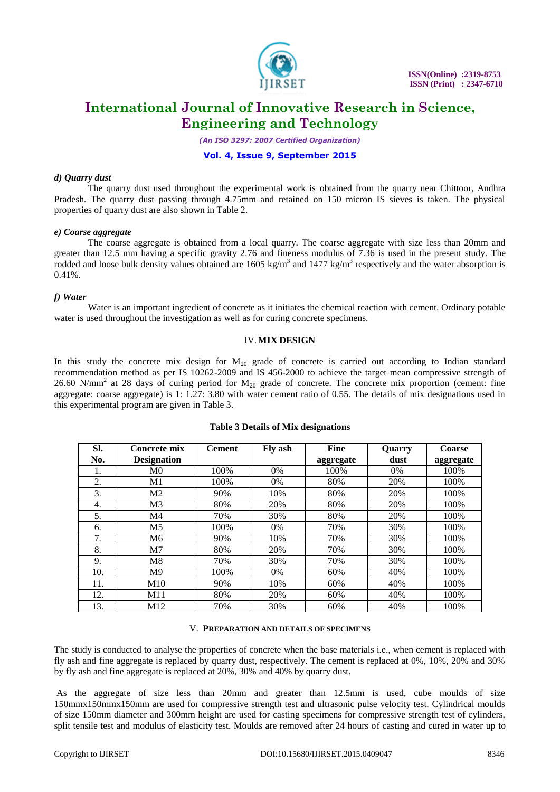

*(An ISO 3297: 2007 Certified Organization)*

# **Vol. 4, Issue 9, September 2015**

#### *d) Quarry dust*

The quarry dust used throughout the experimental work is obtained from the quarry near Chittoor, Andhra Pradesh. The quarry dust passing through 4.75mm and retained on 150 micron IS sieves is taken. The physical properties of quarry dust are also shown in Table 2.

#### *e) Coarse aggregate*

The coarse aggregate is obtained from a local quarry. The coarse aggregate with size less than 20mm and greater than 12.5 mm having a specific gravity 2.76 and fineness modulus of 7.36 is used in the present study. The rodded and loose bulk density values obtained are  $1605 \text{ kg/m}^3$  and  $1477 \text{ kg/m}^3$  respectively and the water absorption is  $0.41\%$ .

### *f) Water*

Water is an important ingredient of concrete as it initiates the chemical reaction with cement. Ordinary potable water is used throughout the investigation as well as for curing concrete specimens.

#### IV.**MIX DESIGN**

In this study the concrete mix design for  $M_{20}$  grade of concrete is carried out according to Indian standard recommendation method as per IS 10262-2009 and IS 456-2000 to achieve the target mean compressive strength of 26.60 N/mm<sup>2</sup> at 28 days of curing period for  $M_{20}$  grade of concrete. The concrete mix proportion (cement: fine aggregate: coarse aggregate) is 1: 1.27: 3.80 with water cement ratio of 0.55. The details of mix designations used in this experimental program are given in Table 3.

| SI. | Concrete mix       | <b>Cement</b> | Fly ash | <b>Fine</b> | Quarry | Coarse    |
|-----|--------------------|---------------|---------|-------------|--------|-----------|
| No. | <b>Designation</b> |               |         | aggregate   | dust   | aggregate |
| 1.  | M <sub>0</sub>     | 100%          | 0%      | 100%        | $0\%$  | 100%      |
| 2.  | M1                 | 100%          | $0\%$   | 80%         | 20%    | 100%      |
| 3.  | M <sub>2</sub>     | 90%           | 10%     | 80%         | 20%    | 100%      |
| 4.  | M <sub>3</sub>     | 80%           | 20%     | 80%         | 20%    | 100%      |
| 5.  | M4                 | 70%           | 30%     | 80%         | 20%    | 100%      |
| 6.  | M <sub>5</sub>     | 100%          | 0%      | 70%         | 30%    | 100%      |
| 7.  | M <sub>6</sub>     | 90%           | 10%     | 70%         | 30%    | 100%      |
| 8.  | M <sub>7</sub>     | 80%           | 20%     | 70%         | 30%    | 100%      |
| 9.  | M8                 | 70%           | 30%     | 70%         | 30%    | 100%      |
| 10. | M <sup>9</sup>     | 100\%         | $0\%$   | 60%         | 40%    | 100%      |
| 11. | M10                | 90%           | 10%     | 60%         | 40%    | 100%      |
| 12. | M11                | 80%           | 20%     | 60%         | 40%    | 100%      |
| 13. | M12                | 70%           | 30%     | 60%         | 40%    | 100%      |

#### **Table 3 Details of Mix designations**

#### V. **PREPARATION AND DETAILS OF SPECIMENS**

The study is conducted to analyse the properties of concrete when the base materials i.e., when cement is replaced with fly ash and fine aggregate is replaced by quarry dust, respectively. The cement is replaced at 0%, 10%, 20% and 30% by fly ash and fine aggregate is replaced at 20%, 30% and 40% by quarry dust.

As the aggregate of size less than 20mm and greater than 12.5mm is used, cube moulds of size 150mmx150mmx150mm are used for compressive strength test and ultrasonic pulse velocity test. Cylindrical moulds of size 150mm diameter and 300mm height are used for casting specimens for compressive strength test of cylinders, split tensile test and modulus of elasticity test. Moulds are removed after 24 hours of casting and cured in water up to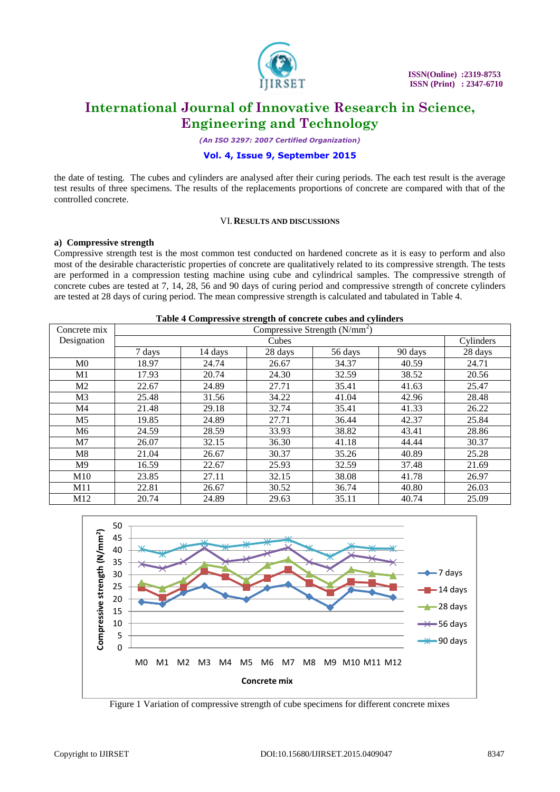

*(An ISO 3297: 2007 Certified Organization)*

# **Vol. 4, Issue 9, September 2015**

the date of testing. The cubes and cylinders are analysed after their curing periods. The each test result is the average test results of three specimens. The results of the replacements proportions of concrete are compared with that of the controlled concrete.

#### VI.**RESULTS AND DISCUSSIONS**

#### **a) Compressive strength**

Compressive strength test is the most common test conducted on hardened concrete as it is easy to perform and also most of the desirable characteristic properties of concrete are qualitatively related to its compressive strength. The tests are performed in a compression testing machine using cube and cylindrical samples. The compressive strength of concrete cubes are tested at 7, 14, 28, 56 and 90 days of curing period and compressive strength of concrete cylinders are tested at 28 days of curing period. The mean compressive strength is calculated and tabulated in Table 4.

**Table 4 Compressive strength of concrete cubes and cylinders**

| Concrete mix   | Tuble + Compressive services of concrete cubes and cynnaers<br>Compressive Strength $(N/mm2)$ |         |         |         |         |           |
|----------------|-----------------------------------------------------------------------------------------------|---------|---------|---------|---------|-----------|
| Designation    |                                                                                               | Cubes   |         |         |         | Cylinders |
|                | 7 days                                                                                        | 14 days | 28 days | 56 days | 90 days | 28 days   |
| M <sub>0</sub> | 18.97                                                                                         | 24.74   | 26.67   | 34.37   | 40.59   | 24.71     |
| M1             | 17.93                                                                                         | 20.74   | 24.30   | 32.59   | 38.52   | 20.56     |
| M <sub>2</sub> | 22.67                                                                                         | 24.89   | 27.71   | 35.41   | 41.63   | 25.47     |
| M <sub>3</sub> | 25.48                                                                                         | 31.56   | 34.22   | 41.04   | 42.96   | 28.48     |
| M <sub>4</sub> | 21.48                                                                                         | 29.18   | 32.74   | 35.41   | 41.33   | 26.22     |
| M <sub>5</sub> | 19.85                                                                                         | 24.89   | 27.71   | 36.44   | 42.37   | 25.84     |
| M6             | 24.59                                                                                         | 28.59   | 33.93   | 38.82   | 43.41   | 28.86     |
| M <sub>7</sub> | 26.07                                                                                         | 32.15   | 36.30   | 41.18   | 44.44   | 30.37     |
| M8             | 21.04                                                                                         | 26.67   | 30.37   | 35.26   | 40.89   | 25.28     |
| M <sub>9</sub> | 16.59                                                                                         | 22.67   | 25.93   | 32.59   | 37.48   | 21.69     |
| M10            | 23.85                                                                                         | 27.11   | 32.15   | 38.08   | 41.78   | 26.97     |
| M11            | 22.81                                                                                         | 26.67   | 30.52   | 36.74   | 40.80   | 26.03     |
| M12            | 20.74                                                                                         | 24.89   | 29.63   | 35.11   | 40.74   | 25.09     |



Figure 1 Variation of compressive strength of cube specimens for different concrete mixes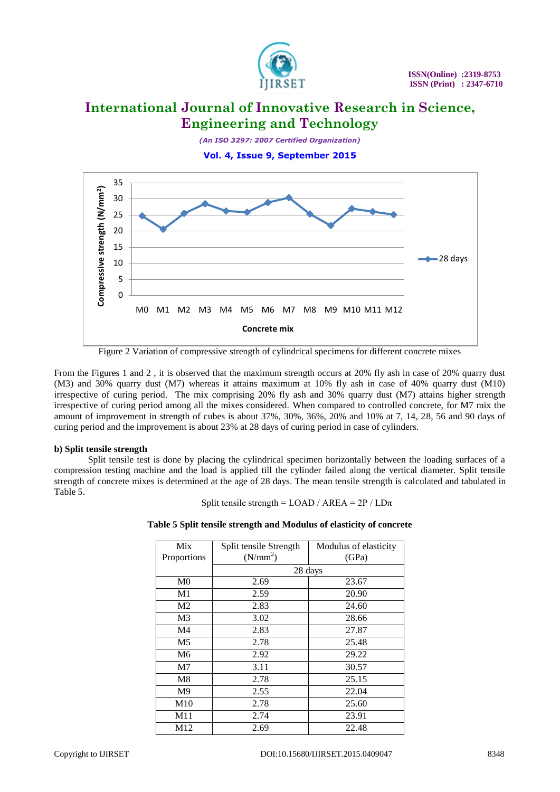

*(An ISO 3297: 2007 Certified Organization)*





Figure 2 Variation of compressive strength of cylindrical specimens for different concrete mixes

From the Figures 1 and 2 , it is observed that the maximum strength occurs at 20% fly ash in case of 20% quarry dust (M3) and 30% quarry dust (M7) whereas it attains maximum at 10% fly ash in case of 40% quarry dust (M10) irrespective of curing period. The mix comprising 20% fly ash and 30% quarry dust (M7) attains higher strength irrespective of curing period among all the mixes considered. When compared to controlled concrete, for M7 mix the amount of improvement in strength of cubes is about 37%, 30%, 36%, 20% and 10% at 7, 14, 28, 56 and 90 days of curing period and the improvement is about 23% at 28 days of curing period in case of cylinders.

### **b) Split tensile strength**

Split tensile test is done by placing the cylindrical specimen horizontally between the loading surfaces of a compression testing machine and the load is applied till the cylinder failed along the vertical diameter. Split tensile strength of concrete mixes is determined at the age of 28 days. The mean tensile strength is calculated and tabulated in Table 5.

Split tensile strength =  $LOAD / AREA = 2P / LD\pi$ 

|  | Table 5 Split tensile strength and Modulus of elasticity of concrete |  |  |  |
|--|----------------------------------------------------------------------|--|--|--|
|--|----------------------------------------------------------------------|--|--|--|

| Mix            | Split tensile Strength | Modulus of elasticity |
|----------------|------------------------|-----------------------|
| Proportions    | (N/mm <sup>2</sup> )   | (GPa)                 |
|                |                        | 28 days               |
| M <sub>0</sub> | 2.69                   | 23.67                 |
| M1             | 2.59                   | 20.90                 |
| M2             | 2.83                   | 24.60                 |
| M <sub>3</sub> | 3.02                   | 28.66                 |
| M4             | 2.83                   | 27.87                 |
| M5             | 2.78                   | 25.48                 |
| M <sub>6</sub> | 2.92                   | 29.22                 |
| M7             | 3.11                   | 30.57                 |
| M8             | 2.78                   | 25.15                 |
| M <sup>9</sup> | 2.55                   | 22.04                 |
| M10            | 2.78                   | 25.60                 |
| M11            | 2.74                   | 23.91                 |
| M12            | 2.69                   | 22.48                 |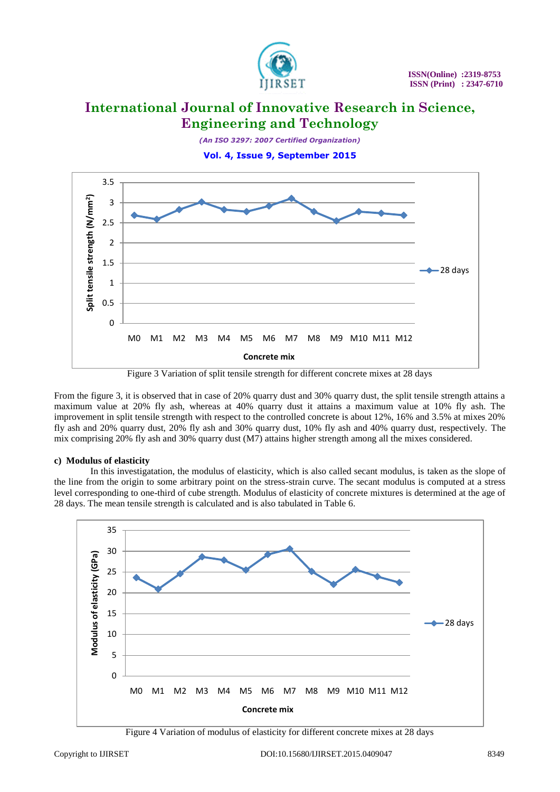

*(An ISO 3297: 2007 Certified Organization)*

**Vol. 4, Issue 9, September 2015**



Figure 3 Variation of split tensile strength for different concrete mixes at 28 days

From the figure 3, it is observed that in case of 20% quarry dust and 30% quarry dust, the split tensile strength attains a maximum value at 20% fly ash, whereas at 40% quarry dust it attains a maximum value at 10% fly ash. The improvement in split tensile strength with respect to the controlled concrete is about 12%, 16% and 3.5% at mixes 20% fly ash and 20% quarry dust, 20% fly ash and 30% quarry dust, 10% fly ash and 40% quarry dust, respectively. The mix comprising 20% fly ash and 30% quarry dust (M7) attains higher strength among all the mixes considered.

### **c) Modulus of elasticity**

In this investigatation, the modulus of elasticity, which is also called secant modulus, is taken as the slope of the line from the origin to some arbitrary point on the stress-strain curve. The secant modulus is computed at a stress level corresponding to one-third of cube strength. Modulus of elasticity of concrete mixtures is determined at the age of 28 days. The mean tensile strength is calculated and is also tabulated in Table 6.



Figure 4 Variation of modulus of elasticity for different concrete mixes at 28 days